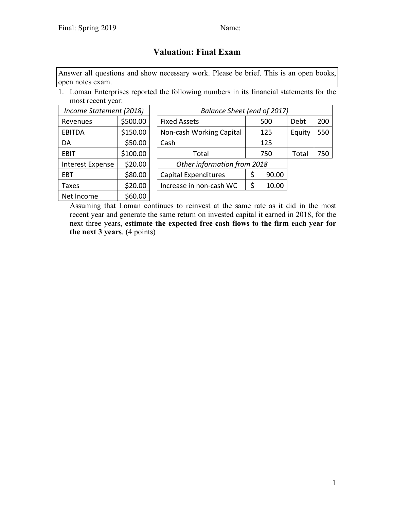# **Valuation: Final Exam**

Answer all questions and show necessary work. Please be brief. This is an open books, open notes exam.

1. Loman Enterprises reported the following numbers in its financial statements for the most recent year:

| Income Statement (2018) |          | Balance Sheet (end of 2017)  |  |       |        |     |  |  |
|-------------------------|----------|------------------------------|--|-------|--------|-----|--|--|
| Revenues                | \$500.00 | <b>Fixed Assets</b>          |  | 500   | Debt   | 200 |  |  |
| <b>EBITDA</b>           | \$150.00 | Non-cash Working Capital     |  | 125   | Equity | 550 |  |  |
| DA                      | \$50.00  | Cash                         |  | 125   |        |     |  |  |
| <b>EBIT</b>             | \$100.00 | Total                        |  | 750   | Total  | 750 |  |  |
| Interest Expense        | \$20.00  | Other information from 2018  |  |       |        |     |  |  |
| EBT                     | \$80.00  | Capital Expenditures         |  | 90.00 |        |     |  |  |
| Taxes                   | \$20.00  | Increase in non-cash WC<br>S |  | 10.00 |        |     |  |  |
| Net Income              | \$60.00  |                              |  |       |        |     |  |  |

Assuming that Loman continues to reinvest at the same rate as it did in the most recent year and generate the same return on invested capital it earned in 2018, for the next three years, **estimate the expected free cash flows to the firm each year for the next 3 years**. (4 points)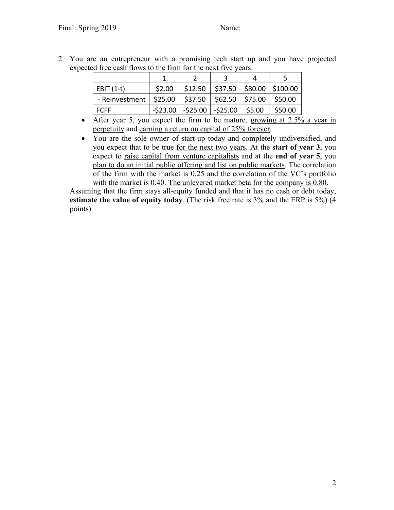2. You are an entrepreneur with a promising tech start up and you have projected expected free cash flows to the firm for the next five years:

| $EBIT(1-t)$              | \$2.00 | $$12.50$   \$37.50   \$80.00   \$100.00     |        |         |
|--------------------------|--------|---------------------------------------------|--------|---------|
| - Reinvestment   \$25.00 |        | $$37.50$ $$62.50$ $$75.00$                  |        | \$50.00 |
| <b>FCFF</b>              |        | $-$ \$23.00 $-$ \$25.00 $-$ \$25.00 $\vert$ | \$5.00 | \$50.00 |

- After year 5, you expect the firm to be mature, growing at 2.5% a year in perpetuity and earning a return on capital of 25% forever.
- You are the sole owner of start-up today and completely undiversified, and you expect that to be true for the next two years. At the **start of year 3**, you expect to raise capital from venture capitalists and at the **end of year 5**, you plan to do an initial public offering and list on public markets. The correlation of the firm with the market is 0.25 and the correlation of the VC's portfolio with the market is 0.40. The unlevered market beta for the company is 0.80.

Assuming that the firm stays all-equity funded and that it has no cash or debt today, **estimate the value of equity today**. (The risk free rate is 3% and the ERP is 5%) (4 points)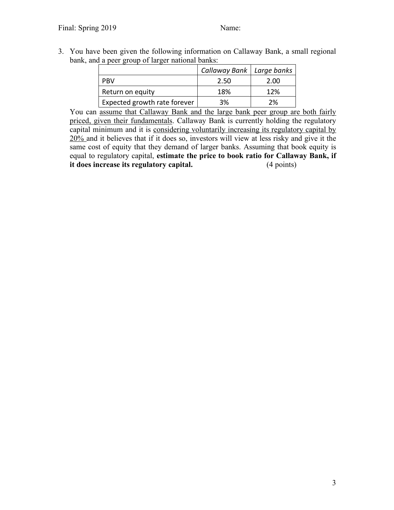3. You have been given the following information on Callaway Bank, a small regional bank, and a peer group of larger national banks:

|                              | Callaway Bank   Large banks |      |
|------------------------------|-----------------------------|------|
| <b>PRV</b>                   | 2.50                        | 2.00 |
| Return on equity             | 18%                         | 12%  |
| Expected growth rate forever | 3%                          | 2%   |

You can assume that Callaway Bank and the large bank peer group are both fairly priced, given their fundamentals. Callaway Bank is currently holding the regulatory capital minimum and it is considering voluntarily increasing its regulatory capital by 20% and it believes that if it does so, investors will view at less risky and give it the same cost of equity that they demand of larger banks. Assuming that book equity is equal to regulatory capital, **estimate the price to book ratio for Callaway Bank, if it does increase its regulatory capital.** (4 points)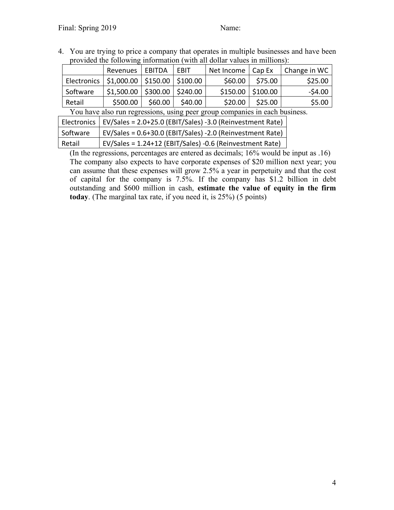4. You are trying to price a company that operates in multiple businesses and have been provided the following information (with all dollar values in millions):

|                                                                             | Revenues   EBITDA                              |         | EBIT     | Net Income   Cap Ex |          | Change in WC |  |
|-----------------------------------------------------------------------------|------------------------------------------------|---------|----------|---------------------|----------|--------------|--|
|                                                                             | Electronics   \$1,000.00   \$150.00   \$100.00 |         |          | \$60.00             | \$75.00  | \$25.00      |  |
| Software                                                                    | $$1,500.00$   \$300.00                         |         | \$240.00 | \$150.00            | \$100.00 | $-54.00$     |  |
| Retail                                                                      | \$500.00                                       | \$60.00 | \$40.00  | \$20.00             | \$25.00  | \$5.00       |  |
| You have also run regressions, using peer group companies in each business. |                                                |         |          |                     |          |              |  |
| $\Gamma$ lectronice $\Gamma$ $\Gamma$                                       |                                                |         |          |                     |          |              |  |

|          | Electronics   EV/Sales = $2.0+25.0$ (EBIT/Sales) -3.0 (Reinvestment Rate) |
|----------|---------------------------------------------------------------------------|
| Software | EV/Sales = 0.6+30.0 (EBIT/Sales) -2.0 (Reinvestment Rate)                 |
| Retail   | EV/Sales = 1.24+12 (EBIT/Sales) -0.6 (Reinvestment Rate)                  |

(In the regressions, percentages are entered as decimals; 16% would be input as .16) The company also expects to have corporate expenses of \$20 million next year; you can assume that these expenses will grow 2.5% a year in perpetuity and that the cost of capital for the company is 7.5%. If the company has \$1.2 billion in debt outstanding and \$600 million in cash, **estimate the value of equity in the firm today**. (The marginal tax rate, if you need it, is 25%) (5 points)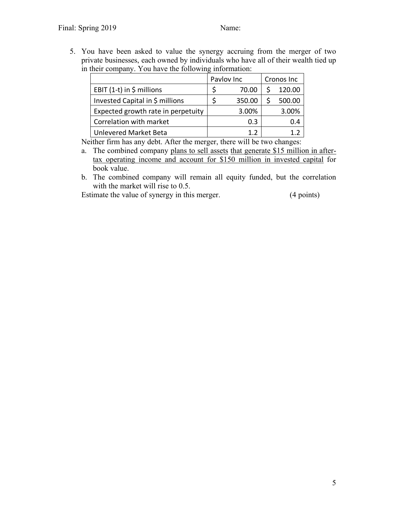5. You have been asked to value the synergy accruing from the merger of two private businesses, each owned by individuals who have all of their wealth tied up in their company. You have the following information:

|                                    | Pavlov Inc |        | Cronos Inc |        |
|------------------------------------|------------|--------|------------|--------|
| EBIT $(1-t)$ in \$ millions        |            | 70.00  |            | 120.00 |
| Invested Capital in \$ millions    |            | 350.00 |            | 500.00 |
| Expected growth rate in perpetuity |            | 3.00%  |            | 3.00%  |
| Correlation with market            |            | 0.3    |            | 0.4    |
| Unlevered Market Beta              |            |        |            |        |

Neither firm has any debt. After the merger, there will be two changes:

- a. The combined company plans to sell assets that generate \$15 million in aftertax operating income and account for \$150 million in invested capital for book value.
- b. The combined company will remain all equity funded, but the correlation with the market will rise to 0.5.

Estimate the value of synergy in this merger. (4 points)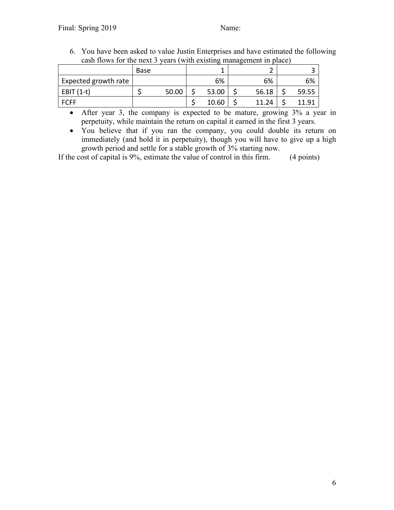6. You have been asked to value Justin Enterprises and have estimated the following cash flows for the next 3 years (with existing management in place)

| Base |       |       |       |                       |
|------|-------|-------|-------|-----------------------|
|      |       | 6%    | 6%    | 6%                    |
|      | 50.00 | 53.00 | 56.18 | 59.55                 |
|      |       | 10.60 | 11.24 |                       |
|      |       |       |       | $\tilde{\phantom{a}}$ |

• After year 3, the company is expected to be mature, growing 3% a year in perpetuity, while maintain the return on capital it earned in the first 3 years.

• You believe that if you ran the company, you could double its return on immediately (and hold it in perpetuity), though you will have to give up a high growth period and settle for a stable growth of 3% starting now.

If the cost of capital is 9%, estimate the value of control in this firm. (4 points)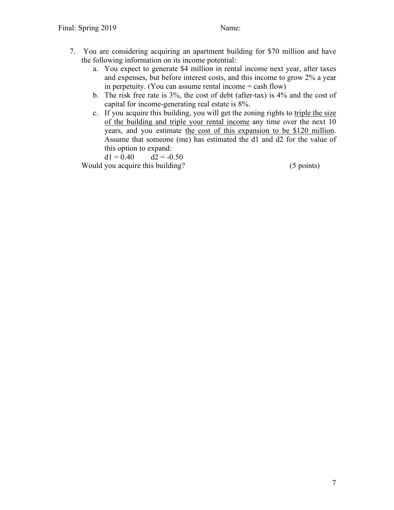- 7. You are considering acquiring an apartment building for \$70 million and have the following information on its income potential:
	- a. You expect to generate \$4 million in rental income next year, after taxes and expenses, but before interest costs, and this income to grow 2% a year in perpetuity. (You can assume rental income  $=$  cash flow)
	- b. The risk free rate is 3%, the cost of debt (after-tax) is 4% and the cost of capital for income-generating real estate is 8%.
	- c. If you acquire this building, you will get the zoning rights to triple the size of the building and triple your rental income any time over the next 10 years, and you estimate the cost of this expansion to be \$120 million. Assume that someone (me) has estimated the d1 and d2 for the value of this option to expand:

 $d1 = 0.40$   $d2 = -0.50$ 

Would you acquire this building? (5 points)